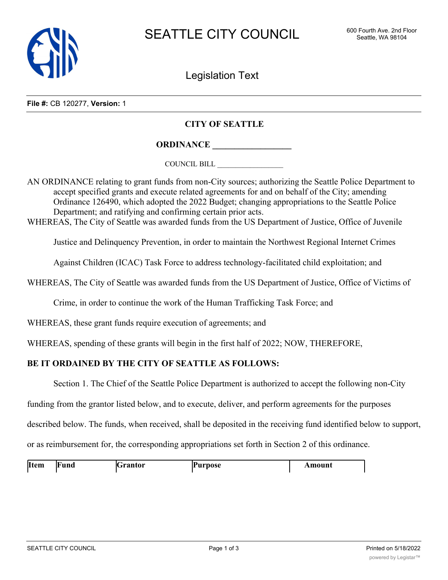

Legislation Text

**File #:** CB 120277, **Version:** 1

## **CITY OF SEATTLE**

**ORDINANCE \_\_\_\_\_\_\_\_\_\_\_\_\_\_\_\_\_\_**

COUNCIL BILL \_\_\_\_\_\_\_\_\_\_\_\_\_\_\_\_\_\_

AN ORDINANCE relating to grant funds from non-City sources; authorizing the Seattle Police Department to accept specified grants and execute related agreements for and on behalf of the City; amending Ordinance 126490, which adopted the 2022 Budget; changing appropriations to the Seattle Police Department; and ratifying and confirming certain prior acts.

WHEREAS, The City of Seattle was awarded funds from the US Department of Justice, Office of Juvenile

Justice and Delinquency Prevention, in order to maintain the Northwest Regional Internet Crimes

Against Children (ICAC) Task Force to address technology-facilitated child exploitation; and

WHEREAS, The City of Seattle was awarded funds from the US Department of Justice, Office of Victims of

Crime, in order to continue the work of the Human Trafficking Task Force; and

WHEREAS, these grant funds require execution of agreements; and

WHEREAS, spending of these grants will begin in the first half of 2022; NOW, THEREFORE,

## **BE IT ORDAINED BY THE CITY OF SEATTLE AS FOLLOWS:**

Section 1. The Chief of the Seattle Police Department is authorized to accept the following non-City

funding from the grantor listed below, and to execute, deliver, and perform agreements for the purposes

described below. The funds, when received, shall be deposited in the receiving fund identified below to support,

or as reimbursement for, the corresponding appropriations set forth in Section 2 of this ordinance.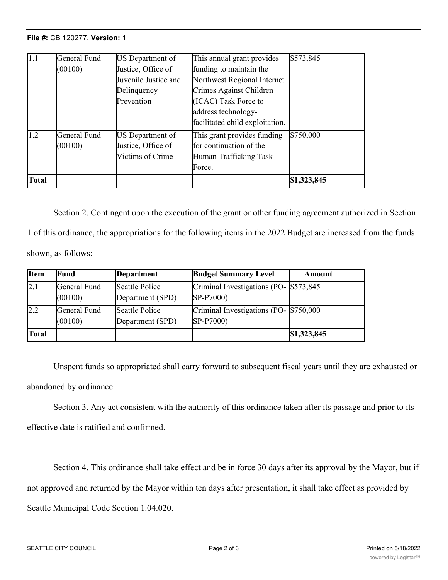## **File #:** CB 120277, **Version:** 1 **Item Fund Grantor Purpose Amount**

| <b>Total</b>  |              |                      |                                 | \$1,323,845 |
|---------------|--------------|----------------------|---------------------------------|-------------|
|               |              |                      | Force.                          |             |
|               |              | Victims of Crime     | Human Trafficking Task          |             |
|               | (00100)      | Justice, Office of   | Ifor continuation of the        |             |
| 1.2           | General Fund | US Department of     | This grant provides funding     | \$750,000   |
|               |              |                      | facilitated child exploitation. |             |
|               |              |                      | address technology-             |             |
|               |              | Prevention           | (ICAC) Task Force to            |             |
|               |              | Delinquency          | Crimes Against Children         |             |
|               |              | Juvenile Justice and | Northwest Regional Internet     |             |
|               | (00100)      | Justice, Office of   | funding to maintain the         |             |
| $ 1.1\rangle$ | General Fund | US Department of     | This annual grant provides      | \$573,845   |

Section 2. Contingent upon the execution of the grant or other funding agreement authorized in Section 1 of this ordinance, the appropriations for the following items in the 2022 Budget are increased from the funds shown, as follows:

| <b>Item</b>  | Fund                    | Department                         | <b>Budget Summary Level</b>                          | Amount      |
|--------------|-------------------------|------------------------------------|------------------------------------------------------|-------------|
| 2.1          | General Fund<br>(00100) | Seattle Police<br>Department (SPD) | Criminal Investigations (PO- \$573,845)<br>SP-P7000) |             |
| 2.2          | General Fund<br>(00100) | Seattle Police<br>Department (SPD) | Criminal Investigations (PO- \$750,000<br>SP-P7000)  |             |
| <b>Total</b> |                         |                                    |                                                      | \$1,323,845 |

Unspent funds so appropriated shall carry forward to subsequent fiscal years until they are exhausted or abandoned by ordinance.

Section 3. Any act consistent with the authority of this ordinance taken after its passage and prior to its effective date is ratified and confirmed.

Section 4. This ordinance shall take effect and be in force 30 days after its approval by the Mayor, but if not approved and returned by the Mayor within ten days after presentation, it shall take effect as provided by Seattle Municipal Code Section 1.04.020.